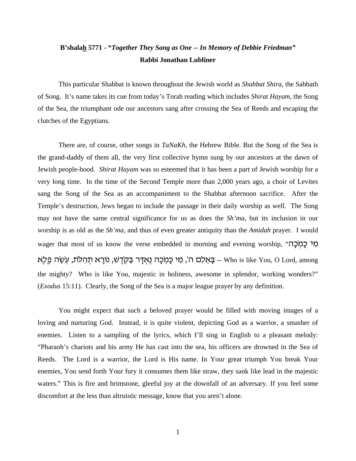## **B'shalah 5771 - "***Together They Sang as One -- In Memory of Debbie Friedman"* **Rabbi Jonathan Lubliner**

This particular Shabbat is known throughout the Jewish world as *Shabbat Shira*, the Sabbath of Song. It's name takes its cue from today's Torah reading which includes *Shirat Hayam*, the Song of the Sea, the triumphant ode our ancestors sang after crossing the Sea of Reeds and escaping the clutches of the Egyptians.

There are, of course, other songs in *TaNaKh*, the Hebrew Bible. But the Song of the Sea is the grand-daddy of them all, the very first collective hymn sung by our ancestors at the dawn of Jewish people-hood. *Shirat Hayam* was so esteemed that it has been a part of Jewish worship for a very long time. In the time of the Second Temple more than 2,000 years ago, a choir of Levites sang the Song of the Sea as an accompaniment to the Shabbat afternoon sacrifice. After the Temple's destruction, Jews began to include the passage in their daily worship as well. The Song may not have the same central significance for us as does the *Sh'ma*, but its inclusion in our worship is as old as the *Sh'ma*, and thus of even greater antiquity than the *Amidah* prayer. I would wager that most of us know the verse embedded in morning and evening worship, "מְי כַמְכַה בּאֵלִם ה', מִי כָּמְכָה נֶאְדָּר בַּקְדֶשׁ, נוֹרָא תְהִלֹּת, עְשֵׂה פֵלֶא -- Who is like You, O Lord, among the mighty? Who is like You, majestic in holiness, awesome in splendor, working wonders?" (*Exodus* 15:11). Clearly, the Song of the Sea is a major league prayer by any definition.

You might expect that such a beloved prayer would be filled with moving images of a loving and nurturing God. Instead, it is quite violent, depicting God as a warrior, a smasher of enemies. Listen to a sampling of the lyrics, which I'll sing in English to a pleasant melody: "Pharaoh's chariots and his army He has cast into the sea, his officers are drowned in the Sea of Reeds. The Lord is a warrior, the Lord is His name. In Your great triumph You break Your enemies, You send forth Your fury it consumes them like straw, they sank like lead in the majestic waters." This is fire and brimstone, gleeful joy at the downfall of an adversary. If you feel some discomfort at the less than altruistic message, know that you aren't alone.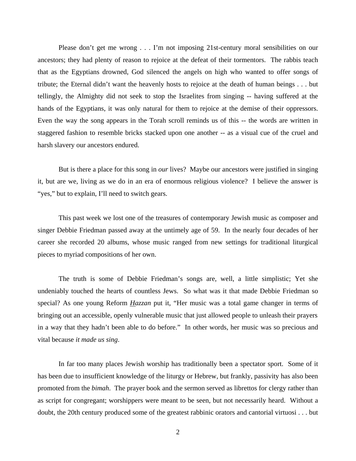Please don't get me wrong . . . I'm not imposing 21st-century moral sensibilities on our ancestors; they had plenty of reason to rejoice at the defeat of their tormentors. The rabbis teach that as the Egyptians drowned, God silenced the angels on high who wanted to offer songs of tribute; the Eternal didn't want the heavenly hosts to rejoice at the death of human beings . . . but tellingly, the Almighty did not seek to stop the Israelites from singing -- having suffered at the hands of the Egyptians, it was only natural for them to rejoice at the demise of their oppressors. Even the way the song appears in the Torah scroll reminds us of this -- the words are written in staggered fashion to resemble bricks stacked upon one another -- as a visual cue of the cruel and harsh slavery our ancestors endured.

But is there a place for this song in *our* lives? Maybe our ancestors were justified in singing it, but are we, living as we do in an era of enormous religious violence? I believe the answer is "yes," but to explain, I'll need to switch gears.

This past week we lost one of the treasures of contemporary Jewish music as composer and singer Debbie Friedman passed away at the untimely age of 59. In the nearly four decades of her career she recorded 20 albums, whose music ranged from new settings for traditional liturgical pieces to myriad compositions of her own.

The truth is some of Debbie Friedman's songs are, well, a little simplistic; Yet she undeniably touched the hearts of countless Jews. So what was it that made Debbie Friedman so special? As one young Reform *Hazzan* put it, "Her music was a total game changer in terms of bringing out an accessible, openly vulnerable music that just allowed people to unleash their prayers in a way that they hadn't been able to do before." In other words, her music was so precious and vital because *it made us sing*.

In far too many places Jewish worship has traditionally been a spectator sport. Some of it has been due to insufficient knowledge of the liturgy or Hebrew, but frankly, passivity has also been promoted from the *bimah*. The prayer book and the sermon served as librettos for clergy rather than as script for congregant; worshippers were meant to be seen, but not necessarily heard. Without a doubt, the 20th century produced some of the greatest rabbinic orators and cantorial virtuosi . . . but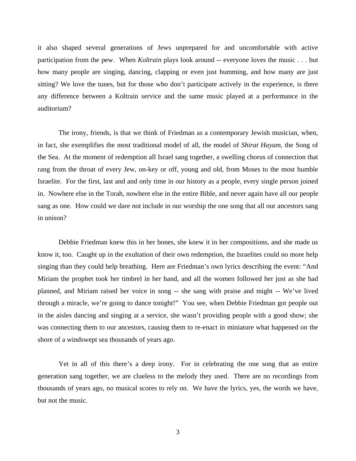it also shaped several generations of Jews unprepared for and uncomfortable with active participation from the pew. When *Koltrain* plays look around -- everyone loves the music . . . but how many people are singing, dancing, clapping or even just humming, and how many are just sitting? We love the tunes, but for those who don't participate actively in the experience, is there any difference between a Koltrain service and the same music played at a performance in the auditorium?

The irony, friends, is that we think of Friedman as a contemporary Jewish musician, when, in fact, she exemplifies the most traditional model of all, the model of *Shirat Hayam*, the Song of the Sea. At the moment of redemption all Israel sang together, a swelling chorus of connection that rang from the throat of every Jew, on-key or off, young and old, from Moses to the most humble Israelite. For the first, last and and only time in our history as a people, every single person joined in. Nowhere else in the Torah, nowhere else in the entire Bible, and never again have all our people sang as one. How could we dare *not* include in our worship the one song that all our ancestors sang in unison?

Debbie Friedman knew this in her bones, she knew it in her compositions, and she made us know it, too. Caught up in the exultation of their own redemption, the Israelites could no more help singing than they could help breathing. Here are Friedman's own lyrics describing the event: "And Miriam the prophet took her timbrel in her hand, and all the women followed her just as she had planned, and Miriam raised her voice in song -- she sang with praise and might -- We've lived through a miracle, we're going to dance tonight!" You see, when Debbie Friedman got people out in the aisles dancing and singing at a service, she wasn't providing people with a good show; she was connecting them to our ancestors, causing them to re-enact in miniature what happened on the shore of a windswept sea thousands of years ago.

Yet in all of this there's a deep irony. For in celebrating the one song that an entire generation sang together, we are clueless to the melody they used. There are no recordings from thousands of years ago, no musical scores to rely on. We have the lyrics, yes, the words we have, but not the music.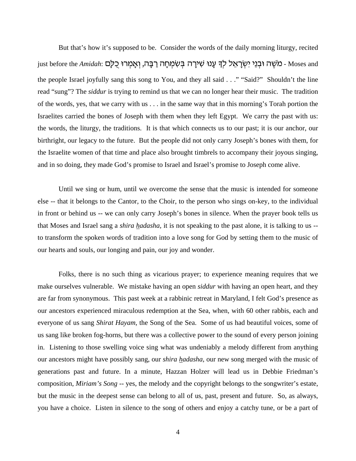But that's how it's supposed to be. Consider the words of the daily morning liturgy, recited just before the *Amidah*: כֹּוֹעֵה וּבְנֵי יִשְׂרָאֵל לִךְ עָנוּ שִׁירָה בְּשָׂמִחָה רַבָּה, וְאָמְרוּ כָלַם Moses and the people Israel joyfully sang this song to You, and they all said . . ." "Said?" Shouldn't the line read "sung"? The *siddur* is trying to remind us that we can no longer hear their music. The tradition of the words, yes, that we carry with us . . . in the same way that in this morning's Torah portion the Israelites carried the bones of Joseph with them when they left Egypt. We carry the past with us: the words, the liturgy, the traditions. It is that which connects us to our past; it is our anchor, our birthright, our legacy to the future. But the people did not only carry Joseph's bones with them, for the Israelite women of that time and place also brought timbrels to accompany their joyous singing, and in so doing, they made God's promise to Israel and Israel's promise to Joseph come alive.

Until we sing or hum, until we overcome the sense that the music is intended for someone else -- that it belongs to the Cantor, to the Choir, to the person who sings on-key, to the individual in front or behind us -- we can only carry Joseph's bones in silence. When the prayer book tells us that Moses and Israel sang a *shira hadasha,* it is not speaking to the past alone, it is talking to us - to transform the spoken words of tradition into a love song for God by setting them to the music of our hearts and souls, our longing and pain, our joy and wonder.

Folks, there is no such thing as vicarious prayer; to experience meaning requires that we make ourselves vulnerable. We mistake having an open *siddur* with having an open heart, and they are far from synonymous. This past week at a rabbinic retreat in Maryland, I felt God's presence as our ancestors experienced miraculous redemption at the Sea, when, with 60 other rabbis, each and everyone of us sang *Shirat Hayam*, the Song of the Sea. Some of us had beautiful voices, some of us sang like broken fog-horns, but there was a collective power to the sound of every person joining in. Listening to those swelling voice sing what was undeniably a melody different from anything our ancestors might have possibly sang, our *shira hadasha*, our new song merged with the music of generations past and future. In a minute, Hazzan Holzer will lead us in Debbie Friedman's composition, *Miriam's Song* -- yes, the melody and the copyright belongs to the songwriter's estate, but the music in the deepest sense can belong to all of us, past, present and future. So, as always, you have a choice. Listen in silence to the song of others and enjoy a catchy tune, or be a part of